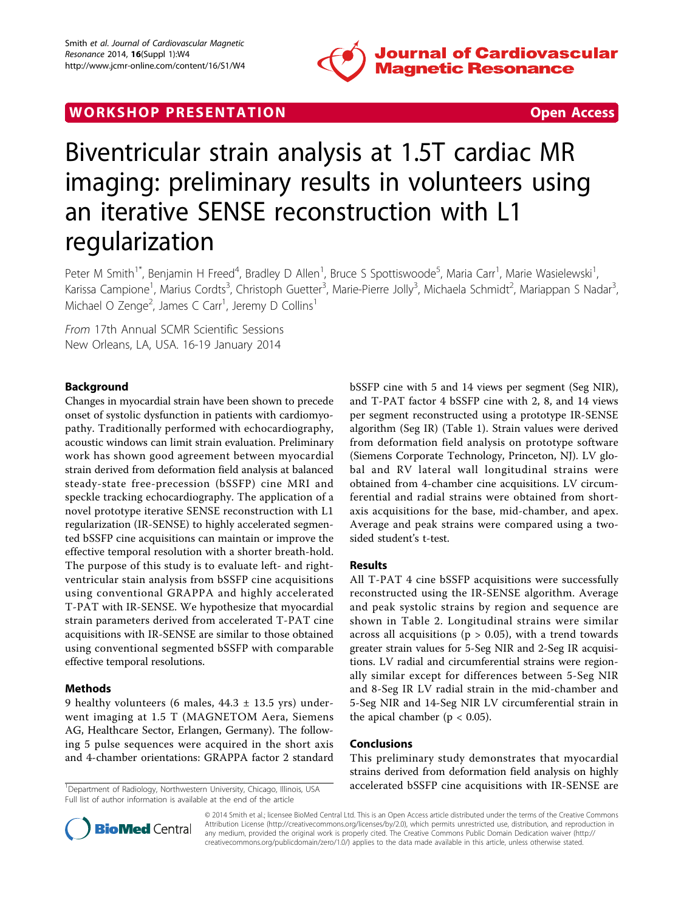

# WORK SHOP PRESENTATION **WORK SHOP PRESENTATION**



# Biventricular strain analysis at 1.5T cardiac MR imaging: preliminary results in volunteers using an iterative SENSE reconstruction with L1 regularization

Peter M Smith<sup>1\*</sup>, Benjamin H Freed<sup>4</sup>, Bradley D Allen<sup>1</sup>, Bruce S Spottiswoode<sup>5</sup>, Maria Carr<sup>1</sup>, Marie Wasielewski<sup>1</sup> , Karissa Campione<sup>1</sup>, Marius Cordts<sup>3</sup>, Christoph Guetter<sup>3</sup>, Marie-Pierre Jolly<sup>3</sup>, Michaela Schmidt<sup>2</sup>, Mariappan S Nadar<sup>3</sup> , Michael O Zenge<sup>2</sup>, James C Carr<sup>1</sup>, Jeremy D Collins<sup>1</sup>

From 17th Annual SCMR Scientific Sessions New Orleans, LA, USA. 16-19 January 2014

# Background

Changes in myocardial strain have been shown to precede onset of systolic dysfunction in patients with cardiomyopathy. Traditionally performed with echocardiography, acoustic windows can limit strain evaluation. Preliminary work has shown good agreement between myocardial strain derived from deformation field analysis at balanced steady-state free-precession (bSSFP) cine MRI and speckle tracking echocardiography. The application of a novel prototype iterative SENSE reconstruction with L1 regularization (IR-SENSE) to highly accelerated segmented bSSFP cine acquisitions can maintain or improve the effective temporal resolution with a shorter breath-hold. The purpose of this study is to evaluate left- and rightventricular stain analysis from bSSFP cine acquisitions using conventional GRAPPA and highly accelerated T-PAT with IR-SENSE. We hypothesize that myocardial strain parameters derived from accelerated T-PAT cine acquisitions with IR-SENSE are similar to those obtained using conventional segmented bSSFP with comparable effective temporal resolutions.

## Methods

9 healthy volunteers (6 males,  $44.3 \pm 13.5$  yrs) underwent imaging at 1.5 T (MAGNETOM Aera, Siemens AG, Healthcare Sector, Erlangen, Germany). The following 5 pulse sequences were acquired in the short axis and 4-chamber orientations: GRAPPA factor 2 standard

Full list of author information is available at the end of the article

bSSFP cine with 5 and 14 views per segment (Seg NIR), and T-PAT factor 4 bSSFP cine with 2, 8, and 14 views per segment reconstructed using a prototype IR-SENSE algorithm (Seg IR) (Table [1\)](#page-1-0). Strain values were derived from deformation field analysis on prototype software (Siemens Corporate Technology, Princeton, NJ). LV global and RV lateral wall longitudinal strains were obtained from 4-chamber cine acquisitions. LV circumferential and radial strains were obtained from shortaxis acquisitions for the base, mid-chamber, and apex. Average and peak strains were compared using a twosided student's t-test.

#### Results

All T-PAT 4 cine bSSFP acquisitions were successfully reconstructed using the IR-SENSE algorithm. Average and peak systolic strains by region and sequence are shown in Table [2.](#page-1-0) Longitudinal strains were similar across all acquisitions ( $p > 0.05$ ), with a trend towards greater strain values for 5-Seg NIR and 2-Seg IR acquisitions. LV radial and circumferential strains were regionally similar except for differences between 5-Seg NIR and 8-Seg IR LV radial strain in the mid-chamber and 5-Seg NIR and 14-Seg NIR LV circumferential strain in the apical chamber ( $p < 0.05$ ).

#### Conclusions

This preliminary study demonstrates that myocardial strains derived from deformation field analysis on highly <sup>1</sup>Department of Radiology, Northwestern University, Chicago, Illinois, USA accelerated bSSFP cine acquisitions with IR-SENSE are



© 2014 Smith et al.; licensee BioMed Central Ltd. This is an Open Access article distributed under the terms of the Creative Commons Attribution License [\(http://creativecommons.org/licenses/by/2.0](http://creativecommons.org/licenses/by/2.0)), which permits unrestricted use, distribution, and reproduction in any medium, provided the original work is properly cited. The Creative Commons Public Domain Dedication waiver [\(http://](http://creativecommons.org/publicdomain/zero/1.0/) [creativecommons.org/publicdomain/zero/1.0/](http://creativecommons.org/publicdomain/zero/1.0/)) applies to the data made available in this article, unless otherwise stated.